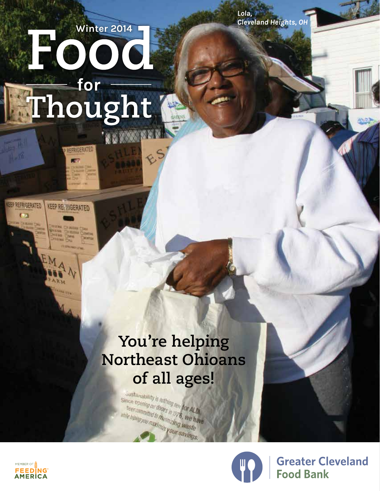# **[Winter 2014](http://www.greaterclevelandfoodbank.org)** Thought<sup>®</sup>

**REFRIGERATED** 

KEEP REFRIGERATED

# **You're helping Northeast Ohioans**

**of all ages!**Sustainability is nothing new for ALDI<br>tree committed to minimal in 1976, we have these opening or doors in toy for ALD<br>bees committed to municipal 3, we had stee committed to municipal of the hand and the hand your cavings.

 $R^5$ 



**Greater Cleveland Food Bank** 



*LEEP REFRIGERATED* 

 $\overline{a}$ **Gummi**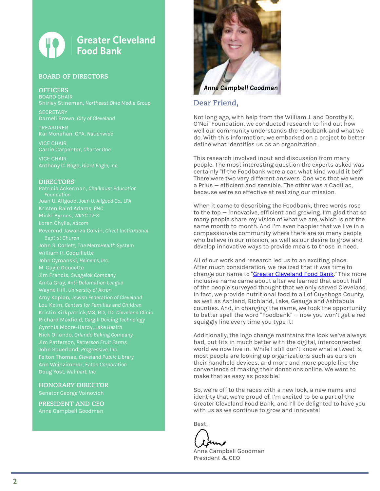#### **Greater Cleveland Food Bank**

#### **BOARD OF DIRECTORS**

#### **OFFICERS**

BOARD CHAIR

**SECRETARY** 

TREASURER Kai Monahan, CPA, *Nationwide*

VICE CHAIR

VICE CHAIR Anthony C. Rego, *Giant Eagle, Inc.*

#### **DIRECTORS**

Patricia Ackerman, *Chalkdust Education Foundation* Joan U. Allgood, *Joan U. Allgood Co., LPA* Kristen Baird Adams, *PNC* Micki Byrnes, *WKYC TV-3* Loren Chylla, *Adcom* Reverend Jawanza Colvin, *Olivet Institutional Baptist Church* John R. Corlett, *The MetroHealth System* John Cymanski, *Heinen's, Inc*. M. Gayle Doucette Jim Francis, *Swagelok Company* Anita Gray, *Anti-Defamation League* Amy Kaplan, *Jewish Federation of Cleveland* Lou Keim, *Centers for Families and Children* Kristin Kirkpatrick,MS, RD, LD. *Cleveland Clinic* Richard Maxfield, *Cargill Deicing Technology* Jim Patterson, *Patterson Fruit Farms* John Sauerland, *Progressive, Inc.* Felton Thomas, *Cleveland Public Library*

**HONORARY DIRECTOR** Senator George Voinovich

**PRESIDENT AND CEO** Anne Campbell Goodman



#### **Dear Friend,**

Not long ago, with help from the William J. and Dorothy K. O'Neil Foundation, we conducted research to find out how well our community understands the Foodbank and what we do. With this information, we embarked on a project to better define what identifies us as an organization.

This research involved input and discussion from many people. The most interesting question the experts asked was certainly "If the Foodbank were a car, what kind would it be?" There were two very different answers. One was that we were a Prius – efficient and sensible. The other was a Cadillac, because we're so effective at realizing our mission.

When it came to describing the Foodbank, three words rose to the top — innovative, efficient and growing. I'm glad that so many people share my vision of what we are, which is not the same month to month. And I'm even happier that we live in a compassionate community where there are so many people who believe in our mission, as well as our desire to grow and develop innovative ways to provide meals to those in need.

All of our work and research led us to an exciting place. After much consideration, we realized that it was time to change our name to "[Greater Cleveland Food Bank](http://www.greaterclevelandfoodbank.org)." This more inclusive name came about after we learned that about half of the people surveyed thought that we only served Cleveland. In fact, we provide nutritional food to all of Cuyahoga County, as well as Ashland, Richland, Lake, Geauga and Ashtabula counties. And, in changing the name, we took the opportunity to better spell the word "Foodbank" — now you won't get a red squiggly line every time you type it!

Additionally, the logo change maintains the look we've always had, but fits in much better with the digital, interconnected world we now live in. While I still don't know what a tweet is, most people are looking up organizations such as ours on their handheld devices, and more and more people like the convenience of making their donations online. We want to make that as easy as possible!

So, we're off to the races with a new look, a new name and identity that we're proud of. I'm excited to be a part of the Greater Cleveland Food Bank, and I'll be delighted to have you with us as we continue to grow and innovate!

Best,

Anne Campbell Goodman President & CEO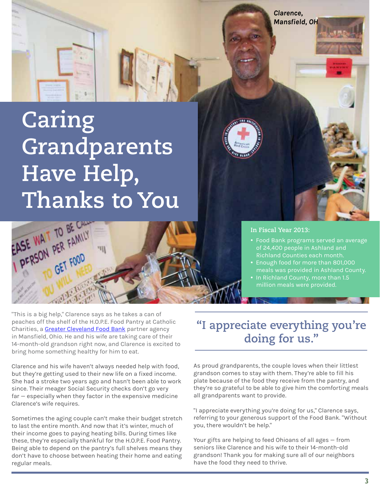*Clarence, Mansfield, OH*

# **Caring Grandparents Have Help, Thanks to You**



"This is a big help," Clarence says as he takes a can of peaches off the shelf of the H.O.P.E. Food Pantry at Catholic Charities, a [Greater Cleveland Food Bank](http://www.greaterclevelandfoodbank.org) partner agency in Mansfield, Ohio. He and his wife are taking care of their 14-month-old grandson right now, and Clarence is excited to bring home something healthy for him to eat.

Clarence and his wife haven't always needed help with food, but they're getting used to their new life on a fixed income. She had a stroke two years ago and hasn't been able to work since. Their meager Social Security checks don't go very far — especially when they factor in the expensive medicine Clarence's wife requires.

Sometimes the aging couple can't make their budget stretch to last the entire month. And now that it's winter, much of their income goes to paying heating bills. During times like these, they're especially thankful for the H.O.P.E. Food Pantry. Being able to depend on the pantry's full shelves means they don't have to choose between heating their home and eating regular meals.

#### **In Fiscal Year 2013:**

- Food Bank programs served an average of 24,400 people in Ashland and
- Enough food for more than 801,000 meals was provided in Ashland County.
- In Richland County, more than 1.5

#### **"I appreciate everything you're doing for us."**

As proud grandparents, the couple loves when their littlest grandson comes to stay with them. They're able to fill his plate because of the food they receive from the pantry, and they're so grateful to be able to give him the comforting meals all grandparents want to provide.

"I appreciate everything you're doing for us," Clarence says, referring to your generous support of the Food Bank. "Without you, there wouldn't be help."

Your gifts are helping to feed Ohioans of all ages — from seniors like Clarence and his wife to their 14-month-old grandson! Thank you for making sure all of our neighbors have the food they need to thrive.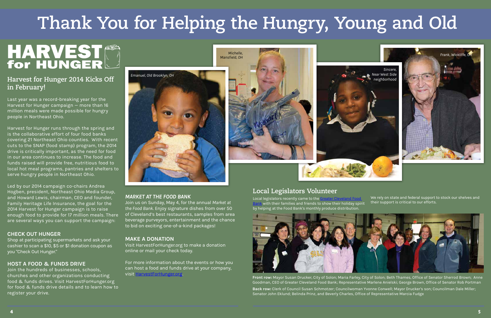#### **Harvest for Hunger 2014 Kicks Off in February!**

Last year was a record-breaking year for the Harvest for Hunger campaign — more than 16 million meals were made possible for hungry people in Northeast Ohio.

Harvest for Hunger runs through the spring and is the collaborative effort of four food banks covering 21 Northeast Ohio counties. With recent cuts to the SNAP (food stamp) program, the 2014 drive is critically important, as the need for food in our area continues to increase. The food and funds raised will provide free, nutritious food to local hot meal programs, pantries and shelters to serve hungry people in Northeast Ohio.

Led by our 2014 campaign co-chairs Andrea Hogben, president, Northeast Ohio Media Group, and Howard Lewis, chairman, CEO and founder, Family Heritage Life Insurance, the goal for the 2014 Harvest for Hunger campaign is to raise enough food to provide for 17 million meals. There are several ways you can support the campaign:

#### **CHECK OUT HUNGER**

Shop at participating supermarkets and ask your cashier to scan a \$10, \$5 or \$1 donation coupon as you "Check Out Hunger."

#### **HOST A FOOD & FUNDS DRIVE**

Join the hundreds of businesses, schools, churches and other organizations conducting food & funds drives. Visit HarvestForHunger.org for food & funds drive details and to learn how to register your drive.

#### **Local Legislators Volunteer**

#### *MARKET AT THE FOOD BANK*

Join us on Sunday, May 4, for the annual *Market at the Food Bank*. Enjoy signature dishes from over 50 of Cleveland's best restaurants, samples from area beverage purveyors, entertainment and the chance to bid on exciting one-of-a-kind packages!

#### **MAKE A DONATION**

Local legislators recently came to the [Greater Cleveland Food](http://www.greaterclevelandfoodbank.org)   $\epsilon$  with their families and friends to show their holiday spirit by helping at the Food Bank's monthly produce distribution. We rely on state and federal support to stock our shelves and their support is critical to our efforts.



Visit HarvestForHunger.org to make a donation online or mail your check today.

For more information about the events or how you can host a food and funds drive at your company, visit [HarvestForHunger.org.](http://www.HarvestForHunger.org)

# **Thank You for Helping the Hungry, Young and Old**

# HARVEST







**Front row:** Mayor Susan Drucker, City of Solon; Maria Farley, City of Solon; Beth Thames, Office of Senator Sherrod Brown; Anne Goodman, CEO of Greater Cleveland Food Bank; Representative Marlene Anielski; George Brown, Office of Senator Rob Portman **Back row:** Clerk of Council Susan Schmotzer; Councilwoman Yvonne Conwell; Mayor Drucker's son; Councilman Dale Miller; Senator John Eklund; Belinda Prinz, and Beverly Charles, Office of Representative Marcia Fudge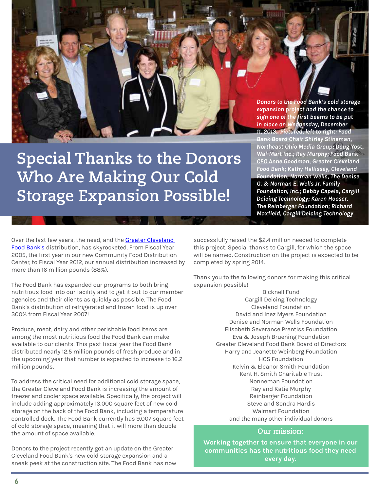### **Special Thanks to the Donors Who Are Making Our Cold Storage Expansion Possible!**

*Donors to the Food Bank's cold storage expansion project had the chance to sign one of the first beams to be put in place on Wednesday, December 11, 2013. Pictured, left to right: Food Bank Board Chair Shirley Stineman, Northeast Ohio Media Group; Doug Yost, Wal-Mart Inc.; Ray Murphy; Food Bank CEO Anne Goodman, Greater Cleveland Food Bank; Kathy Hallissey, Cleveland Foundation; Norman Wells, The Denise G. & Norman E. Wells Jr. Family Foundation, Inc.; Debby Capela, Cargill Deicing Technology; Karen Hooser, The Reinberger Foundation; Richard Maxfield, Cargill Deicing Technology*

Over the last few years, the need, and the Greater Cleveland [Food Bank's](http://www.greaterclevelandfoodbank.org) distribution, has skyrocketed. From Fiscal Year 2005, the first year in our new Community Food Distribution Center, to Fiscal Year 2012, our annual distribution increased by more than 16 million pounds (88%).

The Food Bank has expanded our programs to both bring nutritious food into our facility and to get it out to our member agencies and their clients as quickly as possible. The Food Bank's distribution of refrigerated and frozen food is up over 300% from Fiscal Year 2007!

Produce, meat, dairy and other perishable food items are among the most nutritious food the Food Bank can make available to our clients. This past fiscal year the Food Bank distributed nearly 12.5 million pounds of fresh produce and in the upcoming year that number is expected to increase to 16.2 million pounds.

To address the critical need for additional cold storage space, the Greater Cleveland Food Bank is increasing the amount of freezer and cooler space available. Specifically, the project will include adding approximately 13,000 square feet of new cold storage on the back of the Food Bank, including a temperature controlled dock. The Food Bank currently has 9,007 square feet of cold storage space, meaning that it will more than double the amount of space available.

Donors to the project recently got an update on the Greater Cleveland Food Bank's new cold storage expansion and a sneak peek at the construction site. The Food Bank has now successfully raised the \$2.4 million needed to complete this project. Special thanks to Cargill, for which the space will be named. Construction on the project is expected to be completed by spring 2014.

Thank you to the following donors for making this critical expansion possible!

> Bicknell Fund Cargill Deicing Technology Cleveland Foundation David and Inez Myers Foundation Denise and Norman Wells Foundation Elisabeth Severance Prentiss Foundation Eva & Joseph Bruening Foundation Greater Cleveland Food Bank Board of Directors Harry and Jeanette Weinberg Foundation HCS Foundation Kelvin & Eleanor Smith Foundation Kent H. Smith Charitable Trust Nonneman Foundation Ray and Katie Murphy Reinberger Foundation Steve and Sondra Hardis Walmart Foundation and the many other individual donors

#### **Our mission:**

**Working together to ensure that everyone in our communities has the nutritious food they need every day.**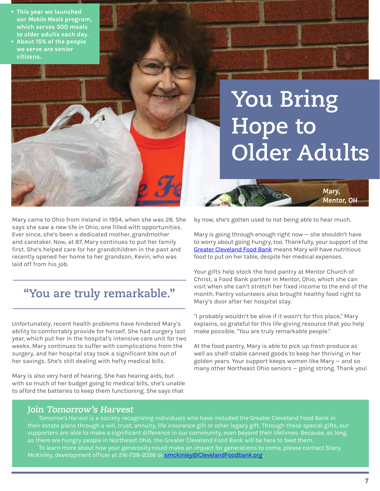#### **• This year we launched our** *Mobile Meals* **program, which serves 500 meals to older adults each day. • About 15% of the people**



# **You Bring Hope to Older Adults**

*Mary,*

*Mentor, OH*

Mary came to Ohio from Ireland in 1954, when she was 28. She says she saw a new life in Ohio, one filled with opportunities. Ever since, she's been a dedicated mother, grandmother and caretaker. Now, at 87, Mary continues to put her family first. She's helped care for her grandchildren in the past and recently opened her home to her grandson, Kevin, who was laid off from his job.

#### **"You are truly remarkable."**

Unfortunately, recent health problems have hindered Mary's ability to comfortably provide for herself. She had surgery last year, which put her in the hospital's intensive care unit for two weeks. Mary continues to suffer with complications from the surgery, and her hospital stay took a significant bite out of her savings. She's still dealing with hefty medical bills.

Mary is also very hard of hearing. She has hearing aids, but with so much of her budget going to medical bills, she's unable to afford the batteries to keep them functioning. She says that

by now, she's gotten used to not being able to hear much.

Mary is going through enough right now — she shouldn't have to worry about going hungry, too. Thankfully, your support of the [Greater Cleveland Food Bank](http://www.greaterclevelandfoodbank.org) means Mary will have nutritious food to put on her table, despite her medical expenses.

Your gifts help stock the food pantry at Mentor Church of Christ, a Food Bank partner in Mentor, Ohio, which she can visit when she can't stretch her fixed income to the end of the month. Pantry volunteers also brought healthy food right to Mary's door after her hospital stay.

"I probably wouldn't be alive if it wasn't for this place," Mary explains, so grateful for this life-giving resource that you help make possible. "You are truly remarkable people."

At the food pantry, Mary is able to pick up fresh produce as well as shelf-stable canned goods to keep her thriving in her golden years. Your support keeps women like Mary — and so many other Northeast Ohio seniors — going strong. Thank you!

#### **Join Tomorrow's Harvest**

*Tomorrow's Harvest* is a society recognizing individuals who have included the Greater Cleveland Food Bank in their estate plans through a will, trust, annuity, life insurance gift or other legacy gift. Through these special gifts, our supporters are able to make a significant difference in our community, even beyond their lifetimes. Because, as long as there are hungry people in Northeast Ohio, the Greater Cleveland Food Bank will be here to feed them.

To learn more about how your generosity could make an impact for generations to come, please contact Stacy McKinley, development officer at 216-738-2056 or **[smckinley@ClevelandFoodbank.org](mailto:smckinley%40ClevelandFoodbank.org?subject=Tomorrow%27s%20Harvest)**.